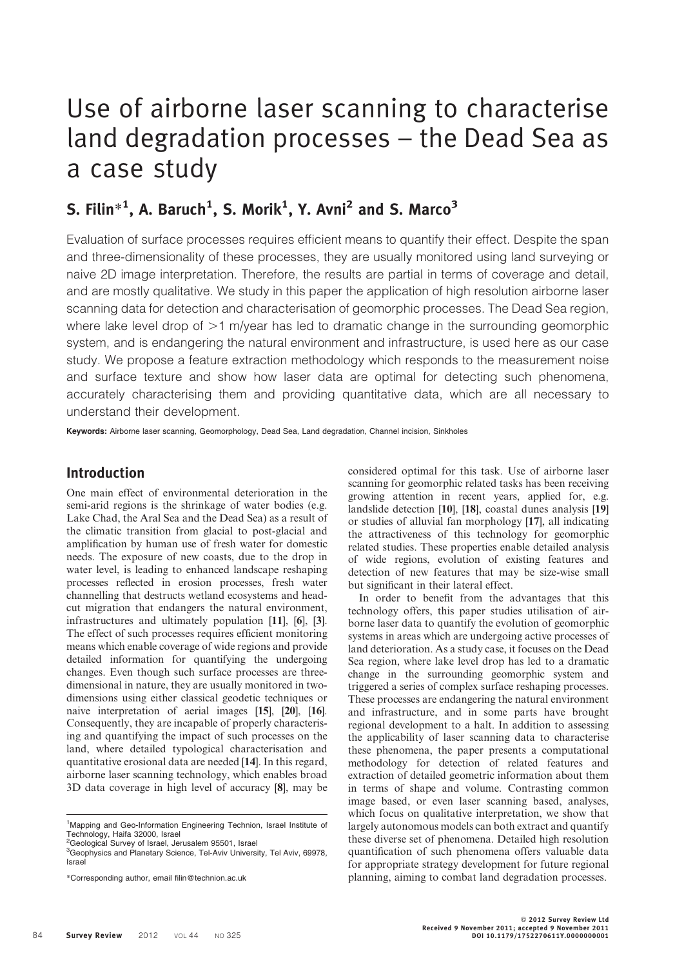# Use of airborne laser scanning to characterise land degradation processes – the Dead Sea as a case study

# S. Filin $^{*1}$ , A. Baruch<sup>1</sup>, S. Morik<sup>1</sup>, Y. Avni<sup>2</sup> and S. Marco<sup>3</sup>

Evaluation of surface processes requires efficient means to quantify their effect. Despite the span and three-dimensionality of these processes, they are usually monitored using land surveying or naive 2D image interpretation. Therefore, the results are partial in terms of coverage and detail, and are mostly qualitative. We study in this paper the application of high resolution airborne laser scanning data for detection and characterisation of geomorphic processes. The Dead Sea region, where lake level drop of  $>1$  m/year has led to dramatic change in the surrounding geomorphic system, and is endangering the natural environment and infrastructure, is used here as our case study. We propose a feature extraction methodology which responds to the measurement noise and surface texture and show how laser data are optimal for detecting such phenomena, accurately characterising them and providing quantitative data, which are all necessary to understand their development.

Keywords: Airborne laser scanning, Geomorphology, Dead Sea, Land degradation, Channel incision, Sinkholes

# Introduction

One main effect of environmental deterioration in the semi-arid regions is the shrinkage of water bodies (e.g. Lake Chad, the Aral Sea and the Dead Sea) as a result of the climatic transition from glacial to post-glacial and amplification by human use of fresh water for domestic needs. The exposure of new coasts, due to the drop in water level, is leading to enhanced landscape reshaping processes reflected in erosion processes, fresh water channelling that destructs wetland ecosystems and headcut migration that endangers the natural environment, infrastructures and ultimately population [11], [6], [3]. The effect of such processes requires efficient monitoring means which enable coverage of wide regions and provide detailed information for quantifying the undergoing changes. Even though such surface processes are threedimensional in nature, they are usually monitored in twodimensions using either classical geodetic techniques or naive interpretation of aerial images [15], [20], [16]. Consequently, they are incapable of properly characterising and quantifying the impact of such processes on the land, where detailed typological characterisation and quantitative erosional data are needed [14]. In this regard, airborne laser scanning technology, which enables broad 3D data coverage in high level of accuracy [8], may be

considered optimal for this task. Use of airborne laser scanning for geomorphic related tasks has been receiving growing attention in recent years, applied for, e.g. landslide detection [10], [18], coastal dunes analysis [19] or studies of alluvial fan morphology [17], all indicating the attractiveness of this technology for geomorphic related studies. These properties enable detailed analysis of wide regions, evolution of existing features and detection of new features that may be size-wise small but significant in their lateral effect.

In order to benefit from the advantages that this technology offers, this paper studies utilisation of airborne laser data to quantify the evolution of geomorphic systems in areas which are undergoing active processes of land deterioration. As a study case, it focuses on the Dead Sea region, where lake level drop has led to a dramatic change in the surrounding geomorphic system and triggered a series of complex surface reshaping processes. These processes are endangering the natural environment and infrastructure, and in some parts have brought regional development to a halt. In addition to assessing the applicability of laser scanning data to characterise these phenomena, the paper presents a computational methodology for detection of related features and extraction of detailed geometric information about them in terms of shape and volume. Contrasting common image based, or even laser scanning based, analyses, which focus on qualitative interpretation, we show that largely autonomous models can both extract and quantify these diverse set of phenomena. Detailed high resolution quantification of such phenomena offers valuable data for appropriate strategy development for future regional planning, aiming to combat land degradation processes.

<sup>&</sup>lt;sup>1</sup>Mapping and Geo-Information Engineering Technion, Israel Institute of Technology, Haifa 32000, Israel

<sup>&</sup>lt;sup>2</sup>Geological Survey of Israel, Jerusalem 95501, Israel <sup>3</sup>Geophysics and Planetary Science, Tel-Aviv University, Tel Aviv, 69978, Israel

<sup>\*</sup>Corresponding author, email filin@technion.ac.uk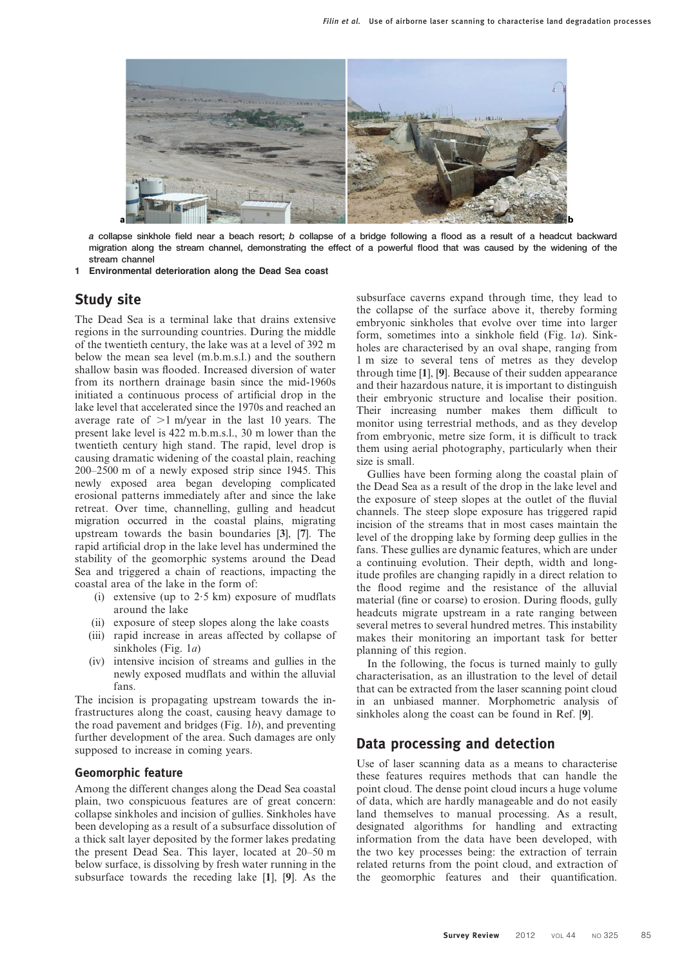

a collapse sinkhole field near a beach resort; b collapse of a bridge following a flood as a result of a headcut backward migration along the stream channel, demonstrating the effect of a powerful flood that was caused by the widening of the stream channel

1 Environmental deterioration along the Dead Sea coast

### Study site

The Dead Sea is a terminal lake that drains extensive regions in the surrounding countries. During the middle of the twentieth century, the lake was at a level of 392 m below the mean sea level (m.b.m.s.l.) and the southern shallow basin was flooded. Increased diversion of water from its northern drainage basin since the mid-1960s initiated a continuous process of artificial drop in the lake level that accelerated since the 1970s and reached an average rate of  $>1$  m/year in the last 10 years. The present lake level is 422 m.b.m.s.l., 30 m lower than the twentieth century high stand. The rapid, level drop is causing dramatic widening of the coastal plain, reaching 200–2500 m of a newly exposed strip since 1945. This newly exposed area began developing complicated erosional patterns immediately after and since the lake retreat. Over time, channelling, gulling and headcut migration occurred in the coastal plains, migrating upstream towards the basin boundaries [3], [7]. The rapid artificial drop in the lake level has undermined the stability of the geomorphic systems around the Dead Sea and triggered a chain of reactions, impacting the coastal area of the lake in the form of:

- (i) extensive (up to  $2.5$  km) exposure of mudflats around the lake
- (ii) exposure of steep slopes along the lake coasts
- (iii) rapid increase in areas affected by collapse of sinkholes (Fig. 1*a*)
- (iv) intensive incision of streams and gullies in the newly exposed mudflats and within the alluvial fans.

The incision is propagating upstream towards the infrastructures along the coast, causing heavy damage to the road pavement and bridges (Fig.  $1b$ ), and preventing further development of the area. Such damages are only supposed to increase in coming years.

#### Geomorphic feature

Among the different changes along the Dead Sea coastal plain, two conspicuous features are of great concern: collapse sinkholes and incision of gullies. Sinkholes have been developing as a result of a subsurface dissolution of a thick salt layer deposited by the former lakes predating the present Dead Sea. This layer, located at 20–50 m below surface, is dissolving by fresh water running in the subsurface towards the receding lake [1], [9]. As the subsurface caverns expand through time, they lead to the collapse of the surface above it, thereby forming embryonic sinkholes that evolve over time into larger form, sometimes into a sinkhole field (Fig. 1a). Sinkholes are characterised by an oval shape, ranging from 1 m size to several tens of metres as they develop through time [1], [9]. Because of their sudden appearance and their hazardous nature, it is important to distinguish their embryonic structure and localise their position. Their increasing number makes them difficult to monitor using terrestrial methods, and as they develop from embryonic, metre size form, it is difficult to track them using aerial photography, particularly when their size is small.

Gullies have been forming along the coastal plain of the Dead Sea as a result of the drop in the lake level and the exposure of steep slopes at the outlet of the fluvial channels. The steep slope exposure has triggered rapid incision of the streams that in most cases maintain the level of the dropping lake by forming deep gullies in the fans. These gullies are dynamic features, which are under a continuing evolution. Their depth, width and longitude profiles are changing rapidly in a direct relation to the flood regime and the resistance of the alluvial material (fine or coarse) to erosion. During floods, gully headcuts migrate upstream in a rate ranging between several metres to several hundred metres. This instability makes their monitoring an important task for better planning of this region.

In the following, the focus is turned mainly to gully characterisation, as an illustration to the level of detail that can be extracted from the laser scanning point cloud in an unbiased manner. Morphometric analysis of sinkholes along the coast can be found in Ref. [9].

### Data processing and detection

Use of laser scanning data as a means to characterise these features requires methods that can handle the point cloud. The dense point cloud incurs a huge volume of data, which are hardly manageable and do not easily land themselves to manual processing. As a result, designated algorithms for handling and extracting information from the data have been developed, with the two key processes being: the extraction of terrain related returns from the point cloud, and extraction of the geomorphic features and their quantification.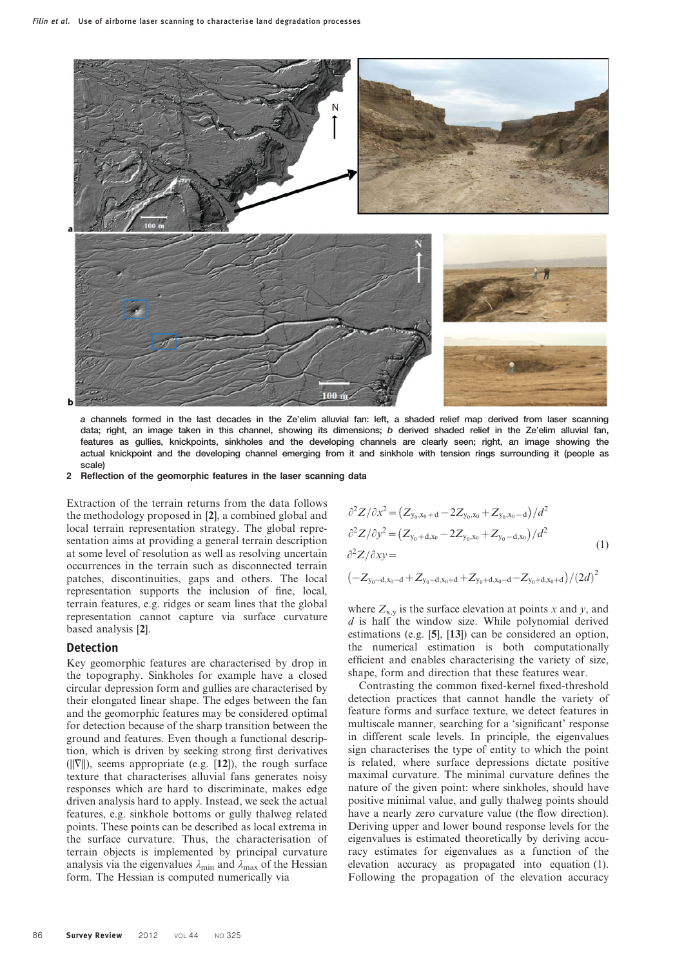

a channels formed in the last decades in the Ze'elim alluvial fan: left, a shaded relief map derived from laser scanning data; right, an image taken in this channel, showing its dimensions; b derived shaded relief in the Ze'elim alluvial fan, features as gullies, knickpoints, sinkholes and the developing channels are clearly seen; right, an image showing the actual knickpoint and the developing channel emerging from it and sinkhole with tension rings surrounding it (people as scale)

2 Reflection of the geomorphic features in the laser scanning data

Extraction of the terrain returns from the data follows the methodology proposed in [2], a combined global and local terrain representation strategy. The global representation aims at providing a general terrain description at some level of resolution as well as resolving uncertain occurrences in the terrain such as disconnected terrain patches, discontinuities, gaps and others. The local representation supports the inclusion of fine, local, terrain features, e.g. ridges or seam lines that the global representation cannot capture via surface curvature based analysis [2].

#### Detection

Key geomorphic features are characterised by drop in the topography. Sinkholes for example have a closed circular depression form and gullies are characterised by their elongated linear shape. The edges between the fan and the geomorphic features may be considered optimal for detection because of the sharp transition between the ground and features. Even though a functional description, which is driven by seeking strong first derivatives  $(||\nabla||)$ , seems appropriate (e.g. [12]), the rough surface texture that characterises alluvial fans generates noisy responses which are hard to discriminate, makes edge driven analysis hard to apply. Instead, we seek the actual features, e.g. sinkhole bottoms or gully thalweg related points. These points can be described as local extrema in the surface curvature. Thus, the characterisation of terrain objects is implemented by principal curvature analysis via the eigenvalues  $\lambda_{\min}$  and  $\lambda_{\max}$  of the Hessian form. The Hessian is computed numerically via

$$
\partial^2 Z / \partial x^2 = (Z_{y_0, x_0 + d} - 2Z_{y_0, x_0} + Z_{y_0, x_0 - d})/d^2
$$
  
\n
$$
\partial^2 Z / \partial y^2 = (Z_{y_0 + d, x_0} - 2Z_{y_0, x_0} + Z_{y_0 - d, x_0})/d^2
$$
  
\n
$$
\partial^2 Z / \partial xy = (-Z_{y_0 - d, x_0 - d} + Z_{y_0 - d, x_0 + d} + Z_{y_0 + d, x_0 - d} - Z_{y_0 + d, x_0 + d})/(2d)^2
$$
\n(1)

where  $Z_{x,y}$  is the surface elevation at points x and y, and  $d$  is half the window size. While polynomial derived estimations (e.g. [5], [13]) can be considered an option, the numerical estimation is both computationally efficient and enables characterising the variety of size, shape, form and direction that these features wear.

Contrasting the common fixed-kernel fixed-threshold detection practices that cannot handle the variety of feature forms and surface texture, we detect features in multiscale manner, searching for a 'significant' response in different scale levels. In principle, the eigenvalues sign characterises the type of entity to which the point is related, where surface depressions dictate positive maximal curvature. The minimal curvature defines the nature of the given point: where sinkholes, should have positive minimal value, and gully thalweg points should have a nearly zero curvature value (the flow direction). Deriving upper and lower bound response levels for the eigenvalues is estimated theoretically by deriving accuracy estimates for eigenvalues as a function of the elevation accuracy as propagated into equation (1). Following the propagation of the elevation accuracy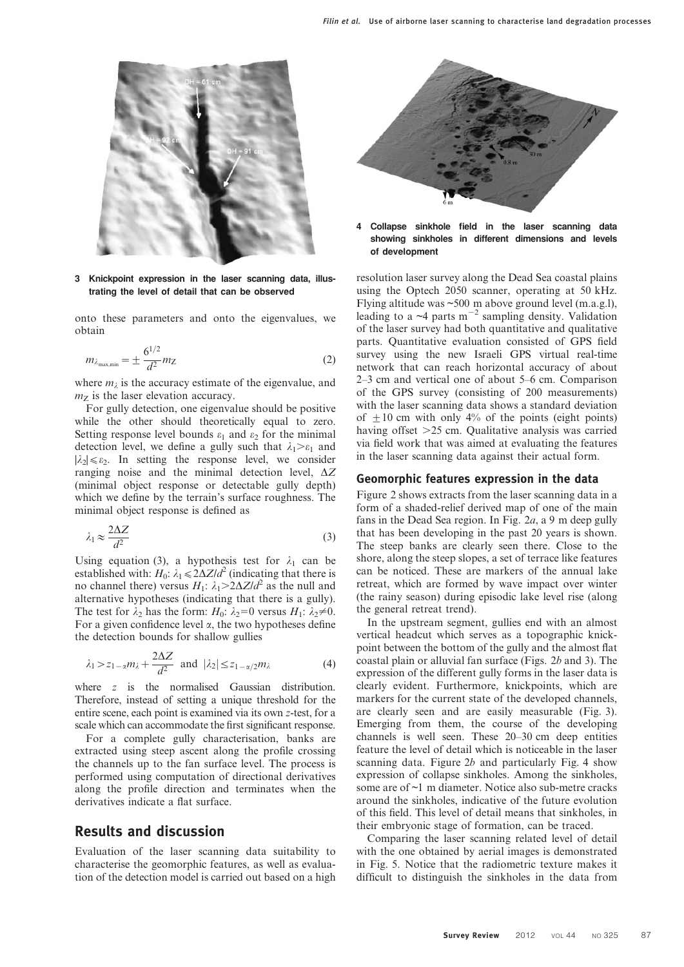

3 Knickpoint expression in the laser scanning data, illustrating the level of detail that can be observed

onto these parameters and onto the eigenvalues, we obtain

$$
m_{\lambda_{\text{max,min}}} = \pm \frac{6^{1/2}}{d^2} m_Z \tag{2}
$$

where  $m_{\lambda}$  is the accuracy estimate of the eigenvalue, and  $m_Z$  is the laser elevation accuracy.

For gully detection, one eigenvalue should be positive while the other should theoretically equal to zero. Setting response level bounds  $\varepsilon_1$  and  $\varepsilon_2$  for the minimal detection level, we define a gully such that  $\lambda_1 \geq \varepsilon_1$  and  $|\lambda_2| \le \varepsilon_2$ . In setting the response level, we consider ranging noise and the minimal detection level,  $\Delta Z$ (minimal object response or detectable gully depth) which we define by the terrain's surface roughness. The minimal object response is defined as

$$
\lambda_1 \approx \frac{2\Delta Z}{d^2} \tag{3}
$$

Using equation (3), a hypothesis test for  $\lambda_1$  can be established with:  $H_0$ :  $\lambda_1 \leq 2\Delta Z/d^2$  (indicating that there is no channel there) versus  $H_1$ :  $\lambda_1 > 2\Delta Z/d^2$  as the null and alternative hypotheses (indicating that there is a gully). The test for  $\lambda_2$  has the form:  $H_0$ :  $\lambda_2=0$  versus  $H_1$ :  $\lambda_2\neq 0$ . For a given confidence level  $\alpha$ , the two hypotheses define the detection bounds for shallow gullies

$$
\lambda_1 > z_{1-\alpha} m_{\lambda} + \frac{2\Delta Z}{d^2}
$$
 and  $|\lambda_2| \le z_{1-\alpha/2} m_{\lambda}$  (4)

where z is the normalised Gaussian distribution. Therefore, instead of setting a unique threshold for the entire scene, each point is examined via its own z-test, for a scale which can accommodate the first significant response.

For a complete gully characterisation, banks are extracted using steep ascent along the profile crossing the channels up to the fan surface level. The process is performed using computation of directional derivatives along the profile direction and terminates when the derivatives indicate a flat surface.

#### Results and discussion

Evaluation of the laser scanning data suitability to characterise the geomorphic features, as well as evaluation of the detection model is carried out based on a high



Collapse sinkhole field in the laser scanning data showing sinkholes in different dimensions and levels of development

resolution laser survey along the Dead Sea coastal plains using the Optech 2050 scanner, operating at 50 kHz. Flying altitude was ~500 m above ground level (m.a.g.l), leading to a  $\sim$ 4 parts m<sup>-2</sup> sampling density. Validation of the laser survey had both quantitative and qualitative parts. Quantitative evaluation consisted of GPS field survey using the new Israeli GPS virtual real-time network that can reach horizontal accuracy of about 2–3 cm and vertical one of about 5–6 cm. Comparison of the GPS survey (consisting of 200 measurements) with the laser scanning data shows a standard deviation of  $\pm 10$  cm with only 4% of the points (eight points) having offset  $>25$  cm. Qualitative analysis was carried via field work that was aimed at evaluating the features in the laser scanning data against their actual form.

#### Geomorphic features expression in the data

Figure 2 shows extracts from the laser scanning data in a form of a shaded-relief derived map of one of the main fans in the Dead Sea region. In Fig. 2a, a 9 m deep gully that has been developing in the past 20 years is shown. The steep banks are clearly seen there. Close to the shore, along the steep slopes, a set of terrace like features can be noticed. These are markers of the annual lake retreat, which are formed by wave impact over winter (the rainy season) during episodic lake level rise (along the general retreat trend).

In the upstream segment, gullies end with an almost vertical headcut which serves as a topographic knickpoint between the bottom of the gully and the almost flat coastal plain or alluvial fan surface (Figs. 2b and 3). The expression of the different gully forms in the laser data is clearly evident. Furthermore, knickpoints, which are markers for the current state of the developed channels, are clearly seen and are easily measurable (Fig. 3). Emerging from them, the course of the developing channels is well seen. These 20–30 cm deep entities feature the level of detail which is noticeable in the laser scanning data. Figure  $2b$  and particularly Fig. 4 show expression of collapse sinkholes. Among the sinkholes, some are of ~1 m diameter. Notice also sub-metre cracks around the sinkholes, indicative of the future evolution of this field. This level of detail means that sinkholes, in their embryonic stage of formation, can be traced.

Comparing the laser scanning related level of detail with the one obtained by aerial images is demonstrated in Fig. 5. Notice that the radiometric texture makes it difficult to distinguish the sinkholes in the data from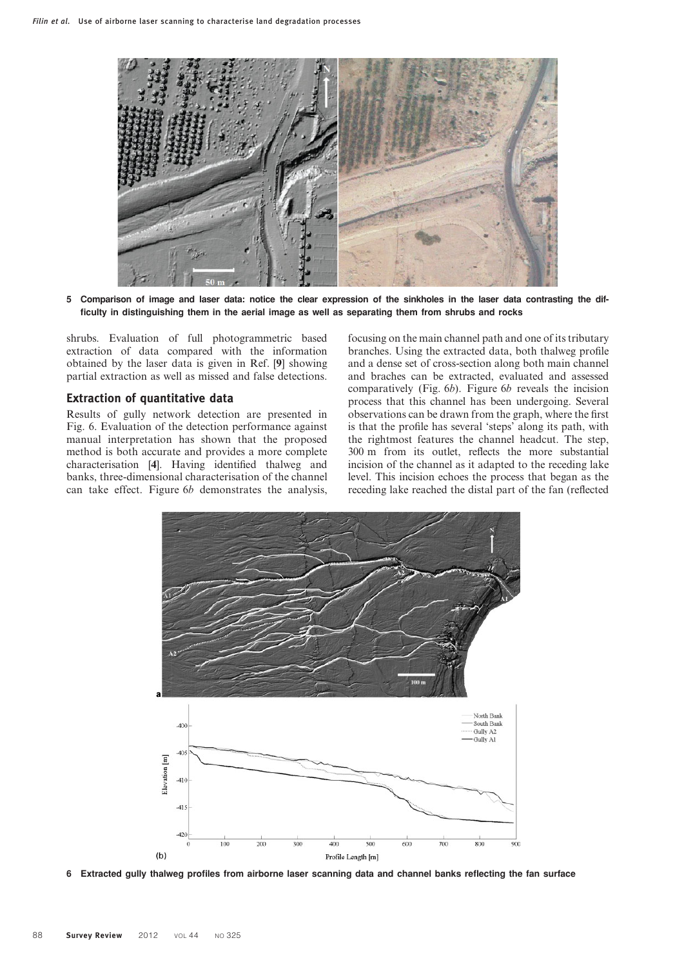

5 Comparison of image and laser data: notice the clear expression of the sinkholes in the laser data contrasting the difficulty in distinguishing them in the aerial image as well as separating them from shrubs and rocks

shrubs. Evaluation of full photogrammetric based extraction of data compared with the information obtained by the laser data is given in Ref. [9] showing partial extraction as well as missed and false detections.

#### Extraction of quantitative data

Results of gully network detection are presented in Fig. 6. Evaluation of the detection performance against manual interpretation has shown that the proposed method is both accurate and provides a more complete characterisation [4]. Having identified thalweg and banks, three-dimensional characterisation of the channel can take effect. Figure 6b demonstrates the analysis,

focusing on the main channel path and one of its tributary branches. Using the extracted data, both thalweg profile and a dense set of cross-section along both main channel and braches can be extracted, evaluated and assessed comparatively (Fig. 6b). Figure 6b reveals the incision process that this channel has been undergoing. Several observations can be drawn from the graph, where the first is that the profile has several 'steps' along its path, with the rightmost features the channel headcut. The step, 300 m from its outlet, reflects the more substantial incision of the channel as it adapted to the receding lake level. This incision echoes the process that began as the receding lake reached the distal part of the fan (reflected



6 Extracted gully thalweg profiles from airborne laser scanning data and channel banks reflecting the fan surface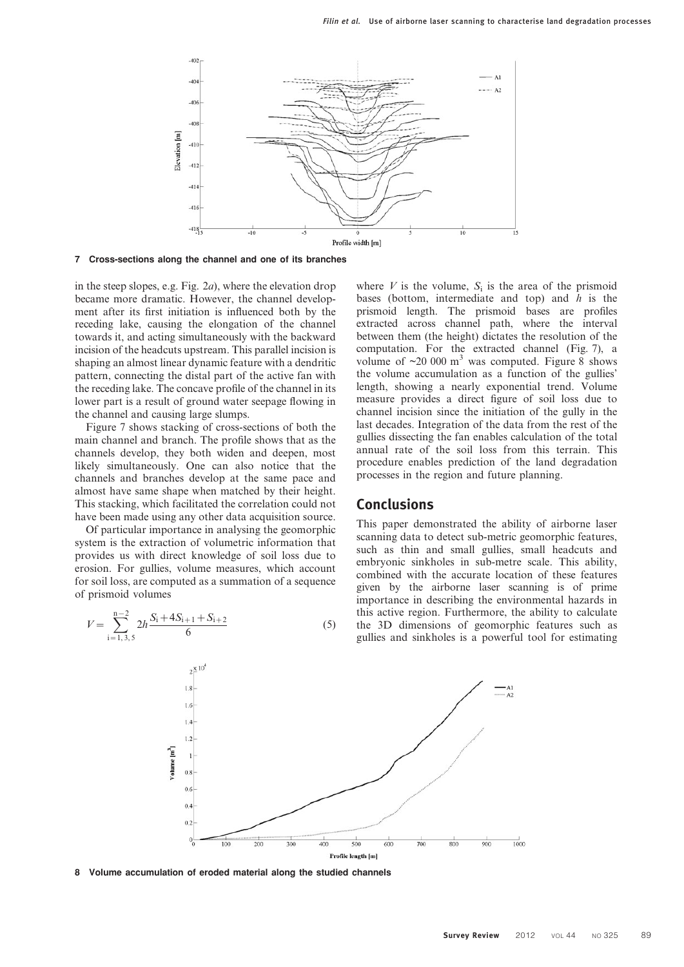

7 Cross-sections along the channel and one of its branches

in the steep slopes, e.g. Fig.  $2a$ ), where the elevation drop became more dramatic. However, the channel development after its first initiation is influenced both by the receding lake, causing the elongation of the channel towards it, and acting simultaneously with the backward incision of the headcuts upstream. This parallel incision is shaping an almost linear dynamic feature with a dendritic pattern, connecting the distal part of the active fan with the receding lake. The concave profile of the channel in its lower part is a result of ground water seepage flowing in the channel and causing large slumps.

Figure 7 shows stacking of cross-sections of both the main channel and branch. The profile shows that as the channels develop, they both widen and deepen, most likely simultaneously. One can also notice that the channels and branches develop at the same pace and almost have same shape when matched by their height. This stacking, which facilitated the correlation could not have been made using any other data acquisition source.

Of particular importance in analysing the geomorphic system is the extraction of volumetric information that provides us with direct knowledge of soil loss due to erosion. For gullies, volume measures, which account for soil loss, are computed as a summation of a sequence of prismoid volumes

$$
V = \sum_{i=1,3,5}^{n-2} 2h \frac{S_i + 4S_{i+1} + S_{i+2}}{6} \tag{5}
$$

where V is the volume,  $S_i$  is the area of the prismoid bases (bottom, intermediate and top) and  $h$  is the prismoid length. The prismoid bases are profiles extracted across channel path, where the interval between them (the height) dictates the resolution of the computation. For the extracted channel (Fig. 7), a volume of  $\sim$ 20 000 m<sup>3</sup> was computed. Figure 8 shows the volume accumulation as a function of the gullies' length, showing a nearly exponential trend. Volume measure provides a direct figure of soil loss due to channel incision since the initiation of the gully in the last decades. Integration of the data from the rest of the gullies dissecting the fan enables calculation of the total annual rate of the soil loss from this terrain. This procedure enables prediction of the land degradation processes in the region and future planning.

#### Conclusions

This paper demonstrated the ability of airborne laser scanning data to detect sub-metric geomorphic features, such as thin and small gullies, small headcuts and embryonic sinkholes in sub-metre scale. This ability, combined with the accurate location of these features given by the airborne laser scanning is of prime importance in describing the environmental hazards in this active region. Furthermore, the ability to calculate the 3D dimensions of geomorphic features such as gullies and sinkholes is a powerful tool for estimating



8 Volume accumulation of eroded material along the studied channels